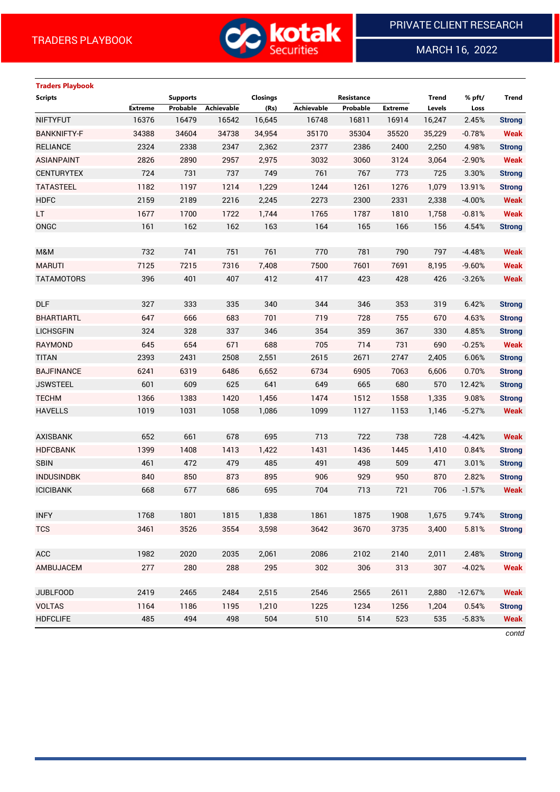

MARCH 16, 2022

 $\overline{a}$ 

# **Traders Playbook**

| <b>Scripts</b>     |                | <b>Supports</b> |                   | <b>Closings</b> |            | Resistance |                | <b>Trend</b> | % pft/    | Trend         |
|--------------------|----------------|-----------------|-------------------|-----------------|------------|------------|----------------|--------------|-----------|---------------|
|                    | <b>Extreme</b> | Probable        | <b>Achievable</b> | (Rs)            | Achievable | Probable   | <b>Extreme</b> | Levels       | Loss      |               |
| <b>NIFTYFUT</b>    | 16376          | 16479           | 16542             | 16,645          | 16748      | 16811      | 16914          | 16,247       | 2.45%     | <b>Strong</b> |
| <b>BANKNIFTY-F</b> | 34388          | 34604           | 34738             | 34,954          | 35170      | 35304      | 35520          | 35,229       | $-0.78%$  | <b>Weak</b>   |
| <b>RELIANCE</b>    | 2324           | 2338            | 2347              | 2,362           | 2377       | 2386       | 2400           | 2,250        | 4.98%     | <b>Strong</b> |
| <b>ASIANPAINT</b>  | 2826           | 2890            | 2957              | 2,975           | 3032       | 3060       | 3124           | 3,064        | $-2.90%$  | <b>Weak</b>   |
| <b>CENTURYTEX</b>  | 724            | 731             | 737               | 749             | 761        | 767        | 773            | 725          | 3.30%     | <b>Strong</b> |
| <b>TATASTEEL</b>   | 1182           | 1197            | 1214              | 1,229           | 1244       | 1261       | 1276           | 1,079        | 13.91%    | <b>Strong</b> |
| <b>HDFC</b>        | 2159           | 2189            | 2216              | 2,245           | 2273       | 2300       | 2331           | 2,338        | $-4.00%$  | <b>Weak</b>   |
| LT.                | 1677           | 1700            | 1722              | 1,744           | 1765       | 1787       | 1810           | 1,758        | $-0.81%$  | <b>Weak</b>   |
| ONGC               | 161            | 162             | 162               | 163             | 164        | 165        | 166            | 156          | 4.54%     | <b>Strong</b> |
|                    |                |                 |                   |                 |            |            |                |              |           |               |
| M&M                | 732            | 741             | 751               | 761             | 770        | 781        | 790            | 797          | $-4.48%$  | <b>Weak</b>   |
| <b>MARUTI</b>      | 7125           | 7215            | 7316              | 7,408           | 7500       | 7601       | 7691           | 8,195        | $-9.60%$  | <b>Weak</b>   |
| <b>TATAMOTORS</b>  | 396            | 401             | 407               | 412             | 417        | 423        | 428            | 426          | $-3.26%$  | <b>Weak</b>   |
|                    |                |                 |                   |                 |            |            |                |              |           |               |
| <b>DLF</b>         | 327            | 333             | 335               | 340             | 344        | 346        | 353            | 319          | 6.42%     | <b>Strong</b> |
| <b>BHARTIARTL</b>  | 647            | 666             | 683               | 701             | 719        | 728        | 755            | 670          | 4.63%     | <b>Strong</b> |
| <b>LICHSGFIN</b>   | 324            | 328             | 337               | 346             | 354        | 359        | 367            | 330          | 4.85%     | <b>Strong</b> |
| RAYMOND            | 645            | 654             | 671               | 688             | 705        | 714        | 731            | 690          | $-0.25%$  | <b>Weak</b>   |
| <b>TITAN</b>       | 2393           | 2431            | 2508              | 2,551           | 2615       | 2671       | 2747           | 2,405        | 6.06%     | <b>Strong</b> |
| <b>BAJFINANCE</b>  | 6241           | 6319            | 6486              | 6,652           | 6734       | 6905       | 7063           | 6,606        | 0.70%     | <b>Strong</b> |
| <b>JSWSTEEL</b>    | 601            | 609             | 625               | 641             | 649        | 665        | 680            | 570          | 12.42%    | <b>Strong</b> |
| <b>TECHM</b>       | 1366           | 1383            | 1420              | 1,456           | 1474       | 1512       | 1558           | 1,335        | 9.08%     | <b>Strong</b> |
| <b>HAVELLS</b>     | 1019           | 1031            | 1058              | 1,086           | 1099       | 1127       | 1153           | 1,146        | $-5.27%$  | <b>Weak</b>   |
|                    |                |                 |                   |                 |            |            |                |              |           |               |
| <b>AXISBANK</b>    | 652            | 661             | 678               | 695             | 713        | 722        | 738            | 728          | $-4.42%$  | <b>Weak</b>   |
| <b>HDFCBANK</b>    | 1399           | 1408            | 1413              | 1,422           | 1431       | 1436       | 1445           | 1,410        | 0.84%     | <b>Strong</b> |
| <b>SBIN</b>        | 461            | 472             | 479               | 485             | 491        | 498        | 509            | 471          | 3.01%     | <b>Strong</b> |
| <b>INDUSINDBK</b>  | 840            | 850             | 873               | 895             | 906        | 929        | 950            | 870          | 2.82%     | <b>Strong</b> |
| <b>ICICIBANK</b>   | 668            | 677             | 686               | 695             | 704        | 713        | 721            | 706          | $-1.57%$  | <b>Weak</b>   |
|                    |                |                 |                   |                 |            |            |                |              |           |               |
| <b>INFY</b>        | 1768           | 1801            | 1815              | 1,838           | 1861       | 1875       | 1908           | 1,675        | 9.74%     | <b>Strong</b> |
| <b>TCS</b>         | 3461           | 3526            | 3554              | 3,598           | 3642       | 3670       | 3735           | 3,400        | 5.81%     | <b>Strong</b> |
|                    |                |                 |                   |                 |            |            |                |              |           |               |
| ACC                | 1982           | 2020            | 2035              | 2,061           | 2086       | 2102       | 2140           | 2,011        | 2.48%     | <b>Strong</b> |
| AMBUJACEM          | 277            | 280             | 288               | 295             | 302        | 306        | 313            | 307          | $-4.02%$  | <b>Weak</b>   |
|                    |                |                 |                   |                 |            |            |                |              |           |               |
| <b>JUBLFOOD</b>    | 2419           | 2465            | 2484              | 2,515           | 2546       | 2565       | 2611           | 2,880        | $-12.67%$ | <b>Weak</b>   |
| <b>VOLTAS</b>      | 1164           | 1186            | 1195              | 1,210           | 1225       | 1234       | 1256           | 1,204        | 0.54%     | <b>Strong</b> |
| <b>HDFCLIFE</b>    | 485            | 494             | 498               | 504             | 510        | 514        | 523            | 535          | $-5.83%$  | <b>Weak</b>   |
|                    |                |                 |                   |                 |            |            |                |              |           |               |

*contd*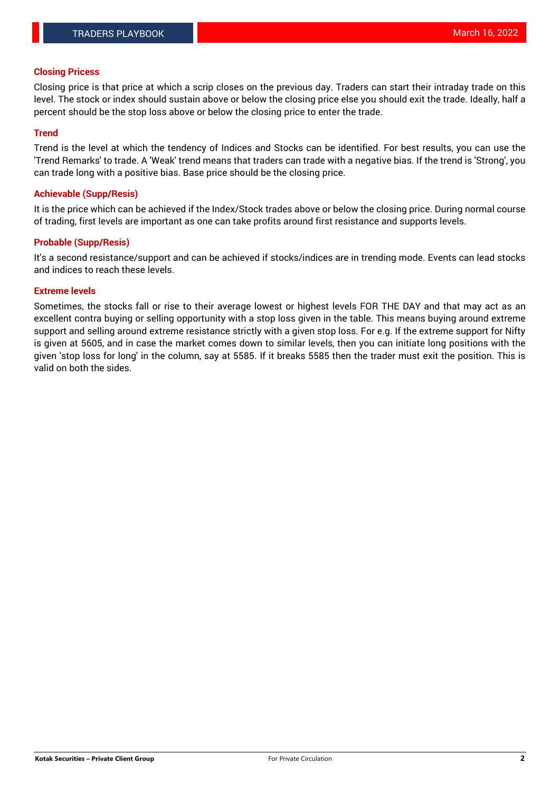### **Closing Pricess**

Closing price is that price at which a scrip closes on the previous day. Traders can start their intraday trade on this level. The stock or index should sustain above or below the closing price else you should exit the trade. Ideally, half a percent should be the stop loss above or below the closing price to enter the trade.

### **Trend**

Trend is the level at which the tendency of Indices and Stocks can be identified. For best results, you can use the 'Trend Remarks' to trade. A 'Weak' trend means that traders can trade with a negative bias. If the trend is 'Strong', you can trade long with a positive bias. Base price should be the closing price.

#### **Achievable (Supp/Resis)**

It is the price which can be achieved if the Index/Stock trades above or below the closing price. During normal course of trading, first levels are important as one can take profits around first resistance and supports levels.

### **Probable (Supp/Resis)**

It's a second resistance/support and can be achieved if stocks/indices are in trending mode. Events can lead stocks and indices to reach these levels.

### **Extreme levels**

Sometimes, the stocks fall or rise to their average lowest or highest levels FOR THE DAY and that may act as an excellent contra buying or selling opportunity with a stop loss given in the table. This means buying around extreme support and selling around extreme resistance strictly with a given stop loss. For e.g. If the extreme support for Nifty is given at 5605, and in case the market comes down to similar levels, then you can initiate long positions with the given 'stop loss for long' in the column, say at 5585. If it breaks 5585 then the trader must exit the position. This is valid on both the sides.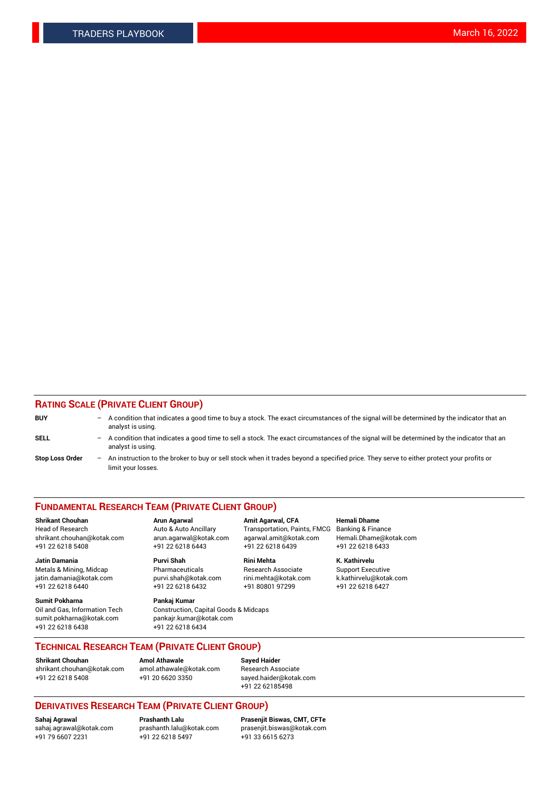### **RATING SCALE (PRIVATE CLIENT GROUP)**

| <b>BUY</b>             | $-$ | A condition that indicates a good time to buy a stock. The exact circumstances of the signal will be determined by the indicator that an<br>analyst is using.    |
|------------------------|-----|------------------------------------------------------------------------------------------------------------------------------------------------------------------|
| <b>SELL</b>            |     | - A condition that indicates a good time to sell a stock. The exact circumstances of the signal will be determined by the indicator that an<br>analyst is using. |
| <b>Stop Loss Order</b> |     | - An instruction to the broker to buy or sell stock when it trades beyond a specified price. They serve to either protect your profits or<br>limit your losses.  |

#### **FUNDAMENTAL RESEARCH TEAM (PRIVATE CLIENT GROUP)**

**Shrikant Chouhan Arun Agarwal Amit Agarwal, CFA Hemali Dhame**

**Jatin Damania Purvi Shah Rini Mehta K. Kathirvelu** Metals & Mining, Midcap **Pharmaceuticals** Research Associate Support Executive jatin.damania@kotak.com [purvi.shah@kotak.com](mailto:purvi.shah@kotak.com) rini.mehta@kotak.com [k.kathirvelu@kotak.com](mailto:k.kathirvelu@kotak.com)  $+91$  22 6218 6440  $+91$  22 6218 6432

**Sumit Pokharna Pankaj Kumar** sumit.pokharna@kotak.com pankajr.kumar@kotak.com +91 22 6218 6438 +91 22 6218 6434

Oil and Gas, Information Tech Construction, Capital Goods & Midcaps

Head of Research Auto & Auto Ancillary Transportation, Paints, FMCG Banking & Finance shrikant.chouhan@kotak.com arun.agarwal@kotak.com agarwal.amit@kotak.com Hemali.Dhame@kotak.com +91 22 6218 5408 +91 22 6218 6443 +91 22 6218 6439 +91 22 6218 6433

**TECHNICAL RESEARCH TEAM (PRIVATE CLIENT GROUP)**

[shrikant.chouhan@kotak.com](mailto:shrikant.chouhan@kotak.com) [amol.athawale@kotak.com](mailto:amol.athawale@kotak.com) Research Associate +91 22 6218 5408 +91 20 6620 3350 [sayed.haider@kotak.com](mailto:sayed.haider@kotak.com)

**Shrikant Chouhan Amol Athawale Sayed Haider**

+91 22 62185498

## **DERIVATIVES RESEARCH TEAM (PRIVATE CLIENT GROUP)**

 $+91$  22 6218 5497

**Sahaj Agrawal Prashanth Lalu Prasenjit Biswas, CMT, CFTe** [sahaj.agrawal@kotak.com](mailto:sahaj.agrawal@kotak.com) [prashanth.lalu@kotak.com](mailto:prashanth.lalu@kotak.com) [prasenjit.biswas@kotak.com](mailto:prasenjit.biswas@kotak.com)